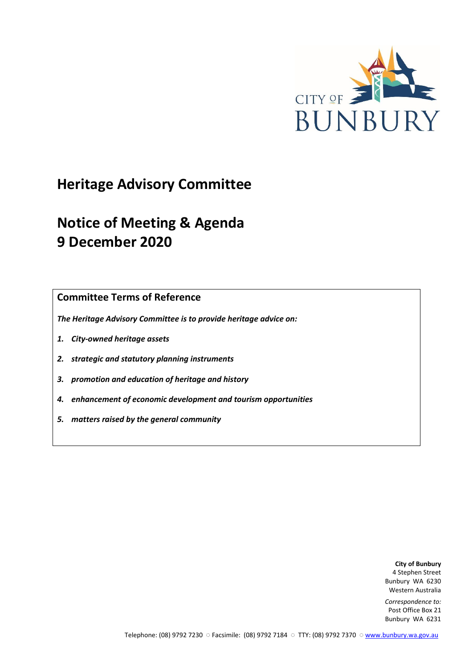

# **Heritage Advisory Committee**

# **Notice of Meeting & Agenda 9 December 2020**

**Committee Terms of Reference**

*The Heritage Advisory Committee is to provide heritage advice on:*

- *1. City-owned heritage assets*
- *2. strategic and statutory planning instruments*
- *3. promotion and education of heritage and history*
- *4. enhancement of economic development and tourism opportunities*
- *5. matters raised by the general community*

**City of Bunbury** 4 Stephen Street Bunbury WA 6230 Western Australia

*Correspondence to:* Post Office Box 21 Bunbury WA 6231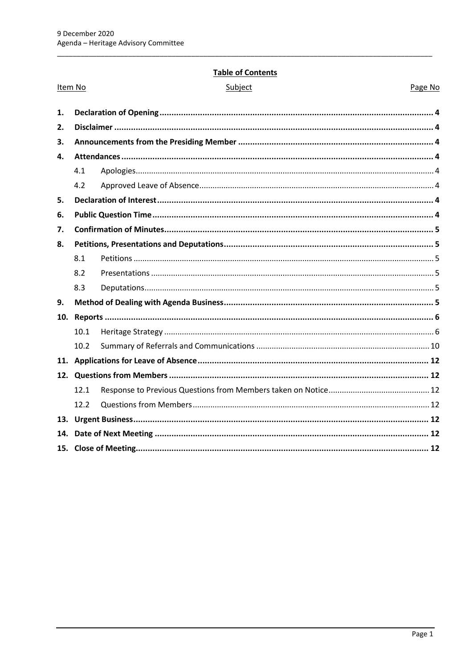## **Table of Contents**

| Item No |      | Subject | Page No |
|---------|------|---------|---------|
| 1.      |      |         |         |
| 2.      |      |         |         |
| 3.      |      |         |         |
| 4.      |      |         |         |
|         | 4.1  |         |         |
|         | 4.2  |         |         |
| 5.      |      |         |         |
| 6.      |      |         |         |
| 7.      |      |         |         |
| 8.      |      |         |         |
|         | 8.1  |         |         |
|         | 8.2  |         |         |
|         | 8.3  |         |         |
| 9.      |      |         |         |
|         |      |         |         |
|         | 10.1 |         |         |
|         | 10.2 |         |         |
|         |      |         |         |
|         |      |         |         |
|         | 12.1 |         |         |
|         | 12.2 |         |         |
|         |      |         |         |
|         |      |         |         |
|         |      |         |         |
|         |      |         |         |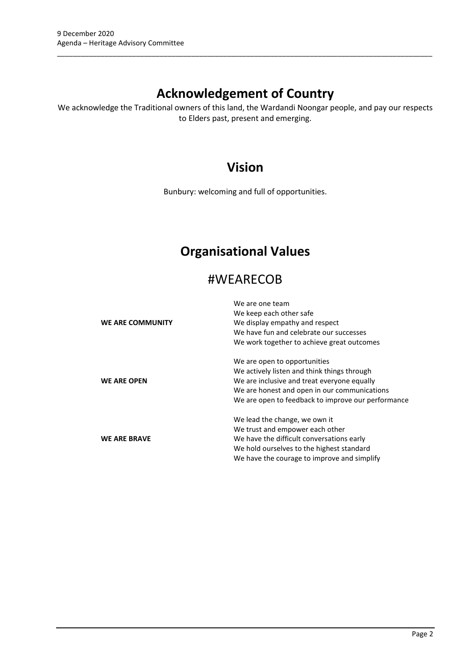## **Acknowledgement of Country**

\_\_\_\_\_\_\_\_\_\_\_\_\_\_\_\_\_\_\_\_\_\_\_\_\_\_\_\_\_\_\_\_\_\_\_\_\_\_\_\_\_\_\_\_\_\_\_\_\_\_\_\_\_\_\_\_\_\_\_\_\_\_\_\_\_\_\_\_\_\_\_\_\_\_\_\_\_\_\_\_\_\_\_\_\_\_\_\_\_\_\_\_\_\_\_

We acknowledge the Traditional owners of this land, the Wardandi Noongar people, and pay our respects to Elders past, present and emerging.

## **Vision**

Bunbury: welcoming and full of opportunities.

## **Organisational Values**

## #WEARECOB

|                     | We are one team                                    |
|---------------------|----------------------------------------------------|
|                     | We keep each other safe                            |
| WE ARE COMMUNITY    | We display empathy and respect                     |
|                     | We have fun and celebrate our successes            |
|                     | We work together to achieve great outcomes         |
|                     | We are open to opportunities                       |
|                     | We actively listen and think things through        |
| <b>WE ARE OPEN</b>  | We are inclusive and treat everyone equally        |
|                     | We are honest and open in our communications       |
|                     | We are open to feedback to improve our performance |
|                     | We lead the change, we own it                      |
|                     | We trust and empower each other                    |
| <b>WE ARE BRAVE</b> | We have the difficult conversations early          |
|                     | We hold ourselves to the highest standard          |
|                     | We have the courage to improve and simplify        |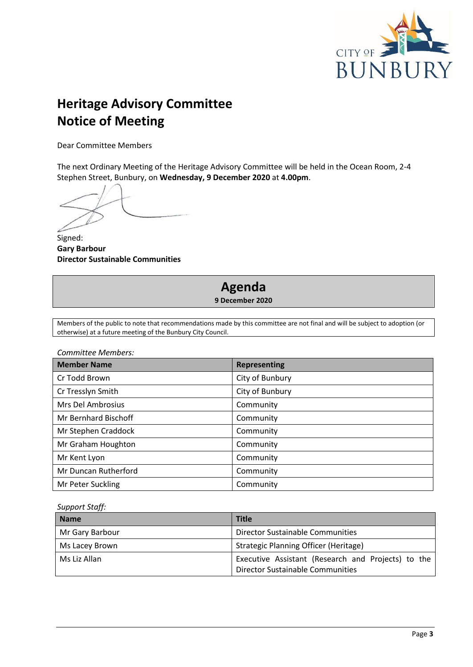

# **Heritage Advisory Committee Notice of Meeting**

Dear Committee Members

The next Ordinary Meeting of the Heritage Advisory Committee will be held in the Ocean Room, 2-4 Stephen Street, Bunbury, on **Wednesday, 9 December 2020** at **4.00pm**.

Signed: **Gary Barbour Director Sustainable Communities**

## **Agenda 9 December 2020**

Members of the public to note that recommendations made by this committee are not final and will be subject to adoption (or otherwise) at a future meeting of the Bunbury City Council.

*Committee Members:*

| <b>Member Name</b>          | <b>Representing</b> |
|-----------------------------|---------------------|
| Cr Todd Brown               | City of Bunbury     |
| Cr Tresslyn Smith           | City of Bunbury     |
| Mrs Del Ambrosius           | Community           |
| <b>Mr Bernhard Bischoff</b> | Community           |
| Mr Stephen Craddock         | Community           |
| Mr Graham Houghton          | Community           |
| Mr Kent Lyon                | Community           |
| Mr Duncan Rutherford        | Community           |
| Mr Peter Suckling           | Community           |

*Support Staff:*

| <b>Name</b>     | <b>Title</b>                                                                                  |
|-----------------|-----------------------------------------------------------------------------------------------|
| Mr Gary Barbour | Director Sustainable Communities                                                              |
| Ms Lacey Brown  | Strategic Planning Officer (Heritage)                                                         |
| Ms Liz Allan    | Executive Assistant (Research and Projects) to the<br><b>Director Sustainable Communities</b> |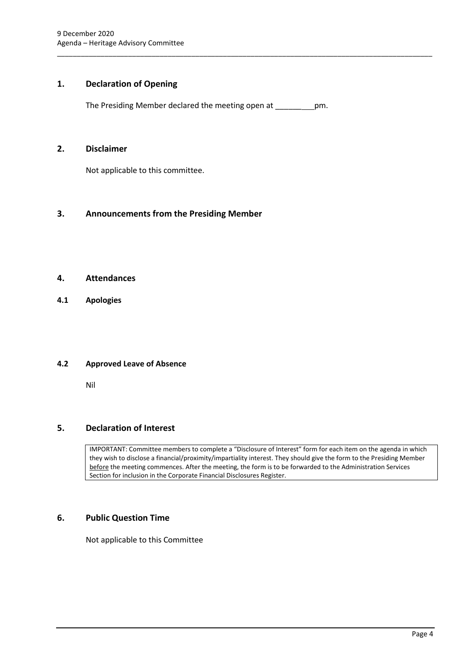## <span id="page-4-0"></span>**1. Declaration of Opening**

The Presiding Member declared the meeting open at \_\_\_\_\_\_ pm.

\_\_\_\_\_\_\_\_\_\_\_\_\_\_\_\_\_\_\_\_\_\_\_\_\_\_\_\_\_\_\_\_\_\_\_\_\_\_\_\_\_\_\_\_\_\_\_\_\_\_\_\_\_\_\_\_\_\_\_\_\_\_\_\_\_\_\_\_\_\_\_\_\_\_\_\_\_\_\_\_\_\_\_\_\_\_\_\_\_\_\_\_\_\_\_

#### <span id="page-4-1"></span>**2. Disclaimer**

Not applicable to this committee.

## <span id="page-4-2"></span>**3. Announcements from the Presiding Member**

#### <span id="page-4-3"></span>**4. Attendances**

<span id="page-4-4"></span>**4.1 Apologies**

#### <span id="page-4-5"></span>**4.2 Approved Leave of Absence**

Nil

## <span id="page-4-6"></span>**5. Declaration of Interest**

IMPORTANT: Committee members to complete a "Disclosure of Interest" form for each item on the agenda in which they wish to disclose a financial/proximity/impartiality interest. They should give the form to the Presiding Member before the meeting commences. After the meeting, the form is to be forwarded to the Administration Services Section for inclusion in the Corporate Financial Disclosures Register.

## <span id="page-4-7"></span>**6. Public Question Time**

Not applicable to this Committee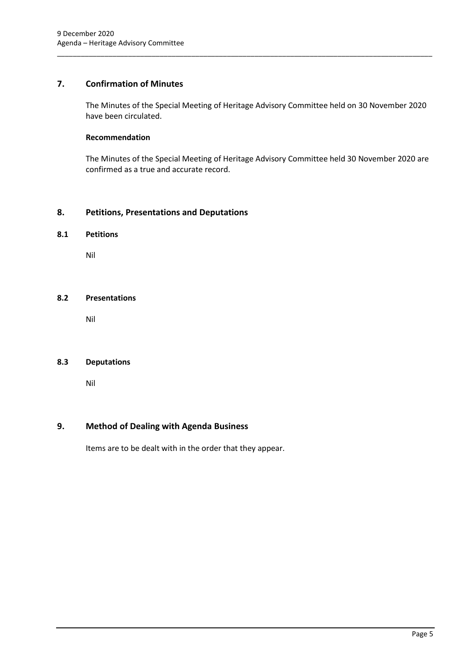## <span id="page-5-0"></span>**7. Confirmation of Minutes**

The Minutes of the Special Meeting of Heritage Advisory Committee held on 30 November 2020 have been circulated.

\_\_\_\_\_\_\_\_\_\_\_\_\_\_\_\_\_\_\_\_\_\_\_\_\_\_\_\_\_\_\_\_\_\_\_\_\_\_\_\_\_\_\_\_\_\_\_\_\_\_\_\_\_\_\_\_\_\_\_\_\_\_\_\_\_\_\_\_\_\_\_\_\_\_\_\_\_\_\_\_\_\_\_\_\_\_\_\_\_\_\_\_\_\_\_

#### **Recommendation**

The Minutes of the Special Meeting of Heritage Advisory Committee held 30 November 2020 are confirmed as a true and accurate record.

## <span id="page-5-1"></span>**8. Petitions, Presentations and Deputations**

#### <span id="page-5-2"></span>**8.1 Petitions**

Nil

#### <span id="page-5-3"></span>**8.2 Presentations**

Nil

## <span id="page-5-4"></span>**8.3 Deputations**

Nil

## <span id="page-5-5"></span>**9. Method of Dealing with Agenda Business**

Items are to be dealt with in the order that they appear.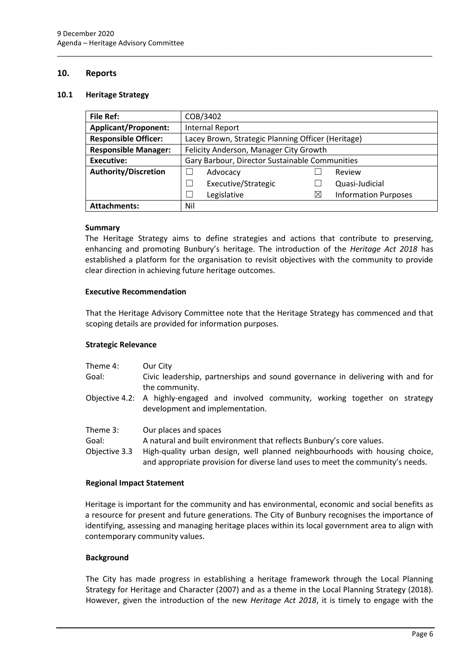#### <span id="page-6-0"></span>**10. Reports**

#### <span id="page-6-1"></span>**10.1 Heritage Strategy**

| <b>File Ref:</b>                                                                  | COB/3402                                       |           |                             |
|-----------------------------------------------------------------------------------|------------------------------------------------|-----------|-----------------------------|
| <b>Applicant/Proponent:</b>                                                       | <b>Internal Report</b>                         |           |                             |
| <b>Responsible Officer:</b><br>Lacey Brown, Strategic Planning Officer (Heritage) |                                                |           |                             |
| <b>Responsible Manager:</b><br>Felicity Anderson, Manager City Growth             |                                                |           |                             |
| <b>Executive:</b>                                                                 | Gary Barbour, Director Sustainable Communities |           |                             |
| <b>Authority/Discretion</b>                                                       | Advocacy                                       |           | Review                      |
|                                                                                   | Executive/Strategic                            |           | Quasi-Judicial              |
|                                                                                   | Legislative                                    | $\bowtie$ | <b>Information Purposes</b> |
| <b>Attachments:</b>                                                               | Nil                                            |           |                             |

\_\_\_\_\_\_\_\_\_\_\_\_\_\_\_\_\_\_\_\_\_\_\_\_\_\_\_\_\_\_\_\_\_\_\_\_\_\_\_\_\_\_\_\_\_\_\_\_\_\_\_\_\_\_\_\_\_\_\_\_\_\_\_\_\_\_\_\_\_\_\_\_\_\_\_\_\_\_\_\_\_\_\_\_\_\_\_\_\_\_\_\_\_\_\_

#### **Summary**

The Heritage Strategy aims to define strategies and actions that contribute to preserving, enhancing and promoting Bunbury's heritage. The introduction of the *Heritage Act 2018* has established a platform for the organisation to revisit objectives with the community to provide clear direction in achieving future heritage outcomes.

#### **Executive Recommendation**

That the Heritage Advisory Committee note that the Heritage Strategy has commenced and that scoping details are provided for information purposes.

#### **Strategic Relevance**

| Theme 4: | Our City                                                                                          |
|----------|---------------------------------------------------------------------------------------------------|
| Goal:    | Civic leadership, partnerships and sound governance in delivering with and for                    |
|          | the community.                                                                                    |
|          | Objective $\Delta$ 2: $\Delta$ highly-engaged and involved community working together on strategy |

- Objective 4.2: A highly-engaged and involved community, working together on strategy development and implementation.
- Theme 3: Our places and spaces
- Goal: A natural and built environment that reflects Bunbury's core values.
- Objective 3.3 High-quality urban design, well planned neighbourhoods with housing choice, and appropriate provision for diverse land uses to meet the community's needs.

#### **Regional Impact Statement**

Heritage is important for the community and has environmental, economic and social benefits as a resource for present and future generations. The City of Bunbury recognises the importance of identifying, assessing and managing heritage places within its local government area to align with contemporary community values.

#### **Background**

The City has made progress in establishing a heritage framework through the Local Planning Strategy for Heritage and Character (2007) and as a theme in the Local Planning Strategy (2018). However, given the introduction of the new *Heritage Act 2018*, it is timely to engage with the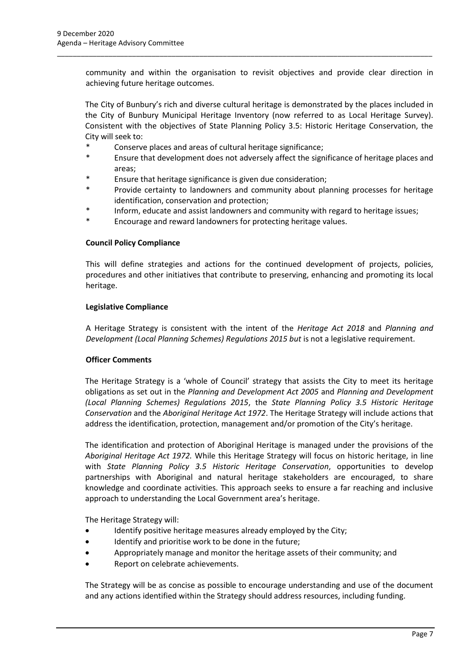community and within the organisation to revisit objectives and provide clear direction in achieving future heritage outcomes.

\_\_\_\_\_\_\_\_\_\_\_\_\_\_\_\_\_\_\_\_\_\_\_\_\_\_\_\_\_\_\_\_\_\_\_\_\_\_\_\_\_\_\_\_\_\_\_\_\_\_\_\_\_\_\_\_\_\_\_\_\_\_\_\_\_\_\_\_\_\_\_\_\_\_\_\_\_\_\_\_\_\_\_\_\_\_\_\_\_\_\_\_\_\_\_

The City of Bunbury's rich and diverse cultural heritage is demonstrated by the places included in the City of Bunbury Municipal Heritage Inventory (now referred to as Local Heritage Survey). Consistent with the objectives of State Planning Policy 3.5: Historic Heritage Conservation, the City will seek to:

- Conserve places and areas of cultural heritage significance;
- Ensure that development does not adversely affect the significance of heritage places and areas;
- \* Ensure that heritage significance is given due consideration;
- \* Provide certainty to landowners and community about planning processes for heritage identification, conservation and protection;
- Inform, educate and assist landowners and community with regard to heritage issues;
- Encourage and reward landowners for protecting heritage values.

#### **Council Policy Compliance**

This will define strategies and actions for the continued development of projects, policies, procedures and other initiatives that contribute to preserving, enhancing and promoting its local heritage.

#### **Legislative Compliance**

A Heritage Strategy is consistent with the intent of the *Heritage Act 2018* and *Planning and Development (Local Planning Schemes) Regulations 2015 but* is not a legislative requirement.

#### **Officer Comments**

The Heritage Strategy is a 'whole of Council' strategy that assists the City to meet its heritage obligations as set out in the *Planning and Development Act 2005* and *Planning and Development (Local Planning Schemes) Regulations 2015*, the *State Planning Policy 3.5 Historic Heritage Conservation* and the *Aboriginal Heritage Act 1972*. The Heritage Strategy will include actions that address the identification, protection, management and/or promotion of the City's heritage.

The identification and protection of Aboriginal Heritage is managed under the provisions of the *Aboriginal Heritage Act 1972.* While this Heritage Strategy will focus on historic heritage, in line with *State Planning Policy 3.5 Historic Heritage Conservation*, opportunities to develop partnerships with Aboriginal and natural heritage stakeholders are encouraged, to share knowledge and coordinate activities. This approach seeks to ensure a far reaching and inclusive approach to understanding the Local Government area's heritage.

The Heritage Strategy will:

- Identify positive heritage measures already employed by the City;
- Identify and prioritise work to be done in the future;
- Appropriately manage and monitor the heritage assets of their community; and
- Report on celebrate achievements.

The Strategy will be as concise as possible to encourage understanding and use of the document and any actions identified within the Strategy should address resources, including funding.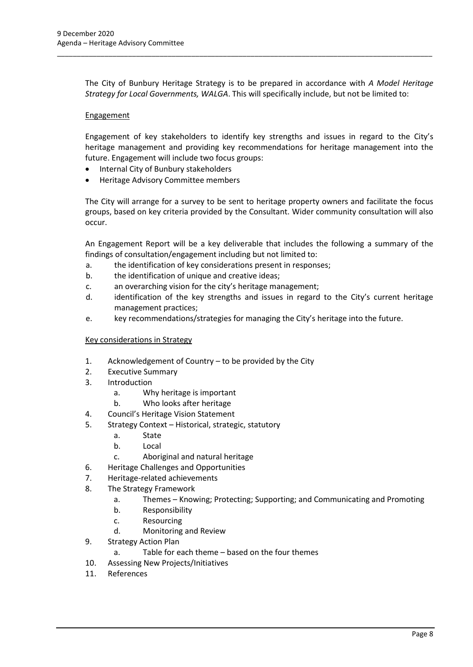The City of Bunbury Heritage Strategy is to be prepared in accordance with *A Model Heritage Strategy for Local Governments, WALGA*. This will specifically include, but not be limited to:

\_\_\_\_\_\_\_\_\_\_\_\_\_\_\_\_\_\_\_\_\_\_\_\_\_\_\_\_\_\_\_\_\_\_\_\_\_\_\_\_\_\_\_\_\_\_\_\_\_\_\_\_\_\_\_\_\_\_\_\_\_\_\_\_\_\_\_\_\_\_\_\_\_\_\_\_\_\_\_\_\_\_\_\_\_\_\_\_\_\_\_\_\_\_\_

#### **Engagement**

Engagement of key stakeholders to identify key strengths and issues in regard to the City's heritage management and providing key recommendations for heritage management into the future. Engagement will include two focus groups:

- Internal City of Bunbury stakeholders
- Heritage Advisory Committee members

The City will arrange for a survey to be sent to heritage property owners and facilitate the focus groups, based on key criteria provided by the Consultant. Wider community consultation will also occur.

An Engagement Report will be a key deliverable that includes the following a summary of the findings of consultation/engagement including but not limited to:

- a. the identification of key considerations present in responses;
- b. the identification of unique and creative ideas;
- c. an overarching vision for the city's heritage management;
- d. identification of the key strengths and issues in regard to the City's current heritage management practices;
- e. key recommendations/strategies for managing the City's heritage into the future.

#### Key considerations in Strategy

- 1. Acknowledgement of Country to be provided by the City
- 2. Executive Summary
- 3. Introduction
	- a. Why heritage is important
	- b. Who looks after heritage
- 4. Council's Heritage Vision Statement
- 5. Strategy Context Historical, strategic, statutory
	- a. State
	- b. Local
	- c. Aboriginal and natural heritage
- 6. Heritage Challenges and Opportunities
- 7. Heritage-related achievements
- 8. The Strategy Framework
	- a. Themes Knowing; Protecting; Supporting; and Communicating and Promoting
	- b. Responsibility
	- c. Resourcing
	- d. Monitoring and Review
- 9. Strategy Action Plan
	- a. Table for each theme based on the four themes
- 10. Assessing New Projects/Initiatives
- 11. References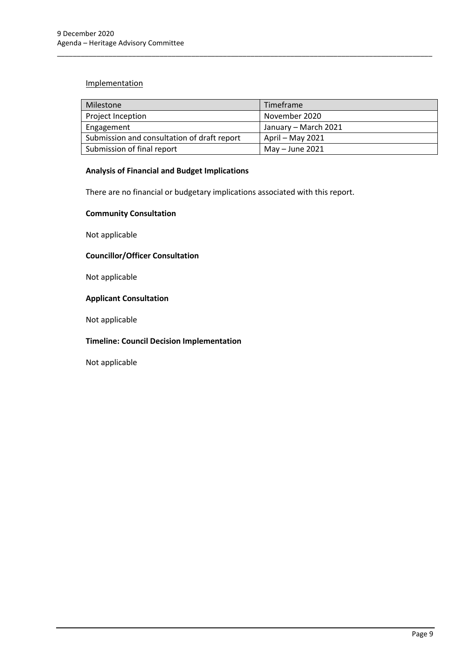## **Implementation**

| Milestone                                   | Timeframe            |
|---------------------------------------------|----------------------|
| Project Inception                           | November 2020        |
| Engagement                                  | January - March 2021 |
| Submission and consultation of draft report | April – May 2021     |
| Submission of final report                  | May $-$ June 2021    |

\_\_\_\_\_\_\_\_\_\_\_\_\_\_\_\_\_\_\_\_\_\_\_\_\_\_\_\_\_\_\_\_\_\_\_\_\_\_\_\_\_\_\_\_\_\_\_\_\_\_\_\_\_\_\_\_\_\_\_\_\_\_\_\_\_\_\_\_\_\_\_\_\_\_\_\_\_\_\_\_\_\_\_\_\_\_\_\_\_\_\_\_\_\_\_

## **Analysis of Financial and Budget Implications**

There are no financial or budgetary implications associated with this report.

#### **Community Consultation**

Not applicable

## **Councillor/Officer Consultation**

Not applicable

#### **Applicant Consultation**

Not applicable

## **Timeline: Council Decision Implementation**

Not applicable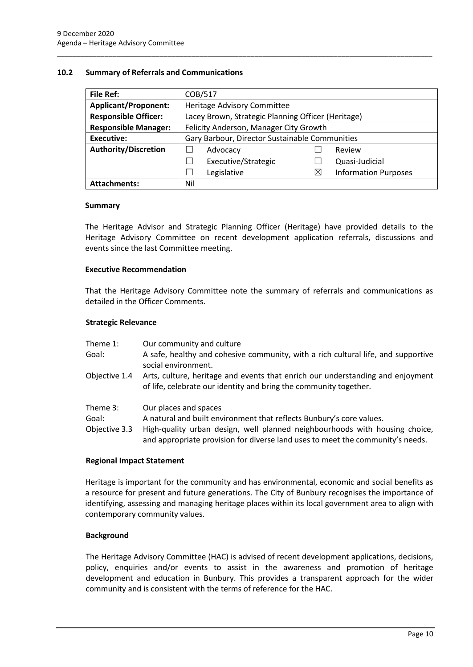#### <span id="page-10-0"></span>**10.2 Summary of Referrals and Communications**

| <b>File Ref:</b>                                                      | COB/517                                            |    |                             |
|-----------------------------------------------------------------------|----------------------------------------------------|----|-----------------------------|
| <b>Applicant/Proponent:</b>                                           | Heritage Advisory Committee                        |    |                             |
| <b>Responsible Officer:</b>                                           | Lacey Brown, Strategic Planning Officer (Heritage) |    |                             |
| <b>Responsible Manager:</b><br>Felicity Anderson, Manager City Growth |                                                    |    |                             |
| <b>Executive:</b>                                                     | Gary Barbour, Director Sustainable Communities     |    |                             |
| <b>Authority/Discretion</b>                                           | Advocacy                                           |    | Review                      |
|                                                                       | Executive/Strategic                                |    | Quasi-Judicial              |
|                                                                       | Legislative                                        | IX | <b>Information Purposes</b> |
| <b>Attachments:</b>                                                   | Nil                                                |    |                             |

\_\_\_\_\_\_\_\_\_\_\_\_\_\_\_\_\_\_\_\_\_\_\_\_\_\_\_\_\_\_\_\_\_\_\_\_\_\_\_\_\_\_\_\_\_\_\_\_\_\_\_\_\_\_\_\_\_\_\_\_\_\_\_\_\_\_\_\_\_\_\_\_\_\_\_\_\_\_\_\_\_\_\_\_\_\_\_\_\_\_\_\_\_\_\_

#### **Summary**

The Heritage Advisor and Strategic Planning Officer (Heritage) have provided details to the Heritage Advisory Committee on recent development application referrals, discussions and events since the last Committee meeting.

#### **Executive Recommendation**

That the Heritage Advisory Committee note the summary of referrals and communications as detailed in the Officer Comments.

#### **Strategic Relevance**

| Theme 1:                           | Our community and culture                                                                                                                                                    |
|------------------------------------|------------------------------------------------------------------------------------------------------------------------------------------------------------------------------|
| Goal:                              | A safe, healthy and cohesive community, with a rich cultural life, and supportive<br>social environment.                                                                     |
| Objective 1.4                      | Arts, culture, heritage and events that enrich our understanding and enjoyment<br>of life, celebrate our identity and bring the community together.                          |
| Theme 3:<br>Goal:<br>Objective 3.3 | Our places and spaces<br>A natural and built environment that reflects Bunbury's core values.<br>High-quality urban design, well planned neighbourhoods with housing choice, |
|                                    | and appropriate provision for diverse land uses to meet the community's needs.                                                                                               |

#### **Regional Impact Statement**

Heritage is important for the community and has environmental, economic and social benefits as a resource for present and future generations. The City of Bunbury recognises the importance of identifying, assessing and managing heritage places within its local government area to align with contemporary community values.

#### **Background**

The Heritage Advisory Committee (HAC) is advised of recent development applications, decisions, policy, enquiries and/or events to assist in the awareness and promotion of heritage development and education in Bunbury. This provides a transparent approach for the wider community and is consistent with the terms of reference for the HAC.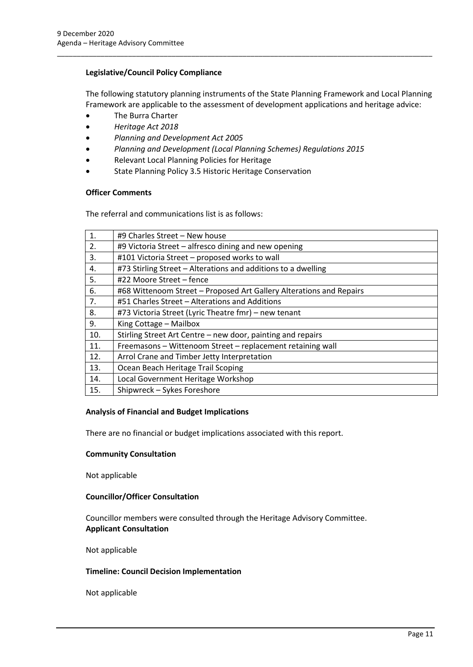#### **Legislative/Council Policy Compliance**

The following statutory planning instruments of the State Planning Framework and Local Planning Framework are applicable to the assessment of development applications and heritage advice:

\_\_\_\_\_\_\_\_\_\_\_\_\_\_\_\_\_\_\_\_\_\_\_\_\_\_\_\_\_\_\_\_\_\_\_\_\_\_\_\_\_\_\_\_\_\_\_\_\_\_\_\_\_\_\_\_\_\_\_\_\_\_\_\_\_\_\_\_\_\_\_\_\_\_\_\_\_\_\_\_\_\_\_\_\_\_\_\_\_\_\_\_\_\_\_

- The Burra Charter
- *Heritage Act 2018*
- *Planning and Development Act 2005*
- *Planning and Development (Local Planning Schemes) Regulations 2015*
- Relevant Local Planning Policies for Heritage
- State Planning Policy 3.5 Historic Heritage Conservation

#### **Officer Comments**

The referral and communications list is as follows:

| 1.  | #9 Charles Street - New house                                       |
|-----|---------------------------------------------------------------------|
| 2.  | #9 Victoria Street – alfresco dining and new opening                |
| 3.  | #101 Victoria Street - proposed works to wall                       |
| 4.  | #73 Stirling Street - Alterations and additions to a dwelling       |
| 5.  | #22 Moore Street - fence                                            |
| 6.  | #68 Wittenoom Street - Proposed Art Gallery Alterations and Repairs |
| 7.  | #51 Charles Street – Alterations and Additions                      |
| 8.  | #73 Victoria Street (Lyric Theatre fmr) - new tenant                |
| 9.  | King Cottage - Mailbox                                              |
| 10. | Stirling Street Art Centre - new door, painting and repairs         |
| 11. | Freemasons - Wittenoom Street - replacement retaining wall          |
| 12. | Arrol Crane and Timber Jetty Interpretation                         |
| 13. | Ocean Beach Heritage Trail Scoping                                  |
| 14. | Local Government Heritage Workshop                                  |
| 15. | Shipwreck - Sykes Foreshore                                         |

#### **Analysis of Financial and Budget Implications**

There are no financial or budget implications associated with this report.

#### **Community Consultation**

Not applicable

#### **Councillor/Officer Consultation**

Councillor members were consulted through the Heritage Advisory Committee. **Applicant Consultation**

Not applicable

#### **Timeline: Council Decision Implementation**

Not applicable